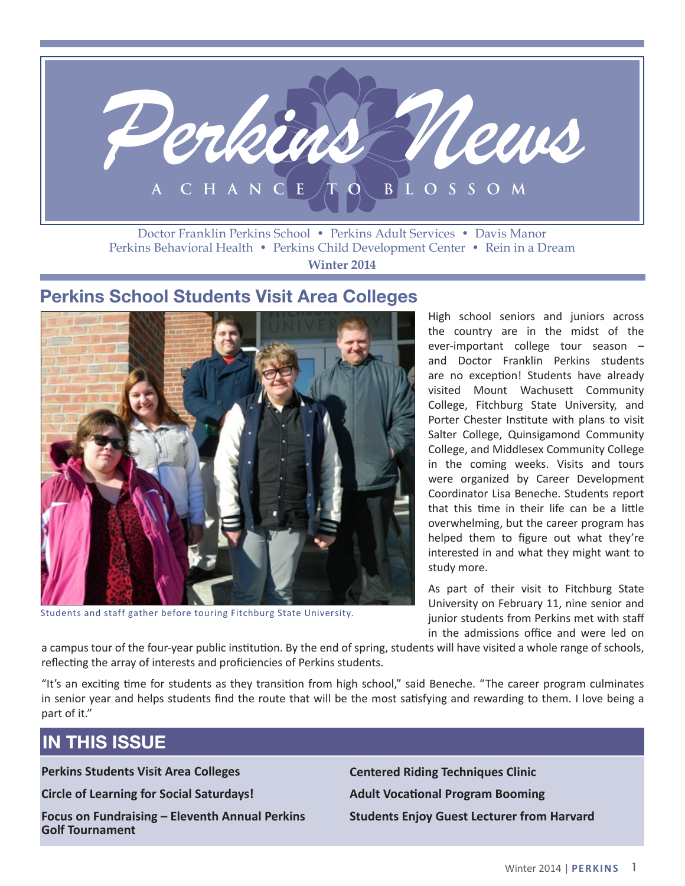

Perkins Behavioral Health • Perkins Child Development Center • Rein in a Dream **Winter 2014**

### **Perkins School Students Visit Area Colleges**



Students and staff gather before touring Fitchburg State University.

High school seniors and juniors across the country are in the midst of the ever-important college tour season – and Doctor Franklin Perkins students are no exception! Students have already visited Mount Wachusett Community College, Fitchburg State University, and Porter Chester Institute with plans to visit Salter College, Quinsigamond Community College, and Middlesex Community College in the coming weeks. Visits and tours were organized by Career Development Coordinator Lisa Beneche. Students report that this time in their life can be a little overwhelming, but the career program has helped them to figure out what they're interested in and what they might want to study more.

As part of their visit to Fitchburg State University on February 11, nine senior and junior students from Perkins met with staff in the admissions office and were led on

a campus tour of the four-year public institution. By the end of spring, students will have visited a whole range of schools, reflecting the array of interests and proficiencies of Perkins students.

"It's an exciting time for students as they transition from high school," said Beneche. "The career program culminates in senior year and helps students find the route that will be the most satisfying and rewarding to them. I love being a part of it."

# **IN THIS ISSUE**

**Perkins Students Visit Area Colleges**

**Circle of Learning for Social Saturdays!**

**Focus on Fundraising – Eleventh Annual Perkins Golf Tournament**

**Centered Riding Techniques Clinic Adult Vocational Program Booming Students Enjoy Guest Lecturer from Harvard**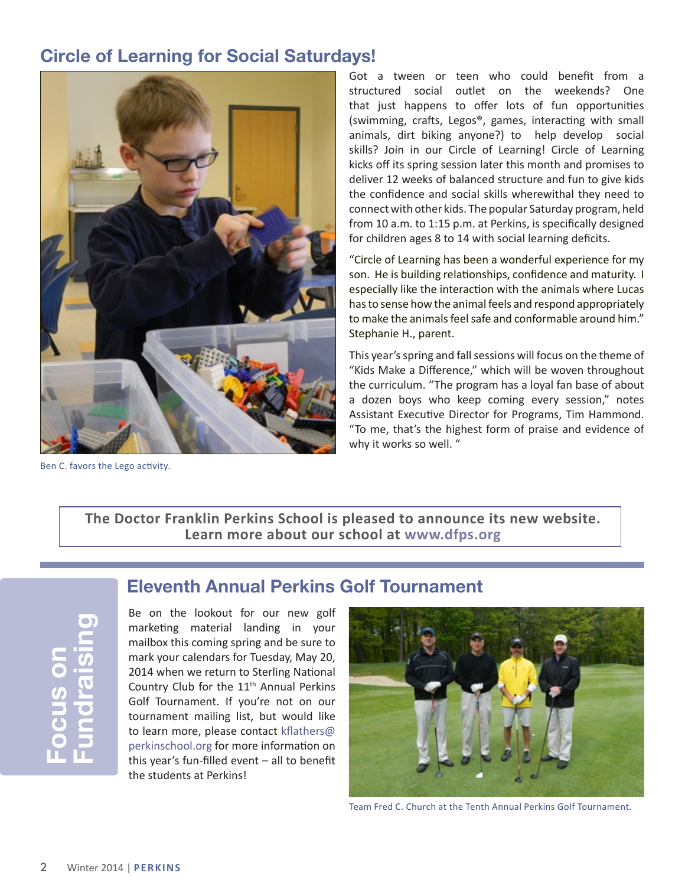## **Circle of Learning for Social Saturdays!**



Ben C. favors the Lego activity.

Got a tween or teen who could benefit from a structured social outlet on the weekends? One that just happens to offer lots of fun opportunities (swimming, crafts, Legos®, games, interacting with small animals, dirt biking anyone?) to help develop social skills? Join in our Circle of Learning! Circle of Learning kicks off its spring session later this month and promises to deliver 12 weeks of balanced structure and fun to give kids the confidence and social skills wherewithal they need to connect with other kids. The popular Saturday program, held from 10 a.m. to 1:15 p.m. at Perkins, is specifically designed for children ages 8 to 14 with social learning deficits.

"Circle of Learning has been a wonderful experience for my son. He is building relationships, confidence and maturity. I especially like the interaction with the animals where Lucas has to sense how the animal feels and respond appropriately to make the animals feel safe and conformable around him." Stephanie H., parent.

This year's spring and fall sessions will focus on the theme of "Kids Make a Difference," which will be woven throughout the curriculum. "The program has a loyal fan base of about a dozen boys who keep coming every session," notes Assistant Executive Director for Programs, Tim Hammond. "To me, that's the highest form of praise and evidence of why it works so well. "

**The Doctor Franklin Perkins School is pleased to announce its new website. Learn more about our school at www.dfps.org**

**Focus on Fundraising**

### **Eleventh Annual Perkins Golf Tournament**

Be on the lookout for our new golf marketing material landing in your mailbox this coming spring and be sure to mark your calendars for Tuesday, May 20, 2014 when we return to Sterling National Country Club for the 11<sup>th</sup> Annual Perkins Golf Tournament. If you're not on our tournament mailing list, but would like to learn more, please contact kflathers@ perkinschool.org for more information on this year's fun-filled event – all to benefit the students at Perkins!



Team Fred C. Church at the Tenth Annual Perkins Golf Tournament.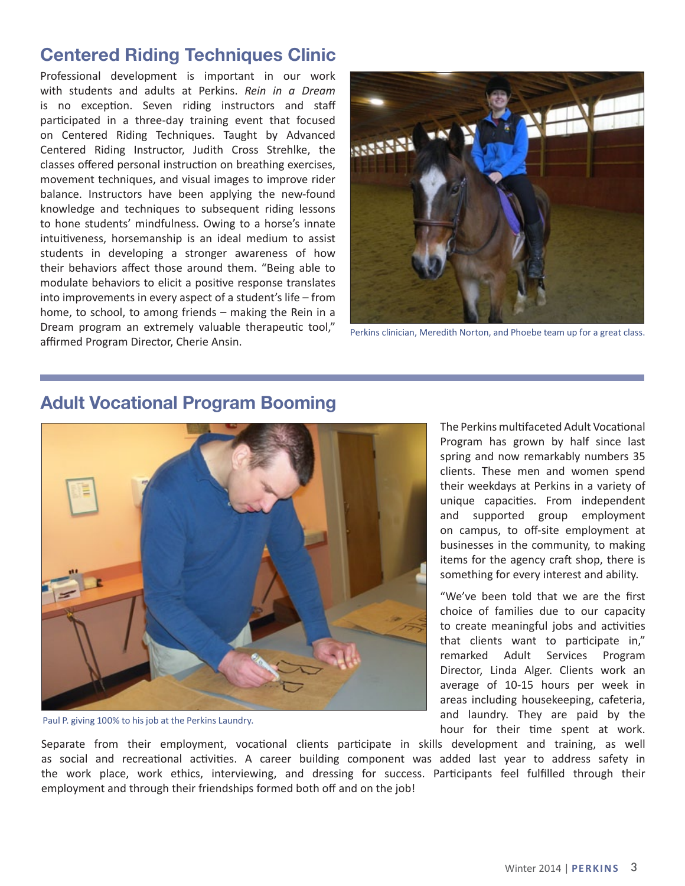### **Centered Riding Techniques Clinic**

Professional development is important in our work with students and adults at Perkins. *Rein in a Dream* is no exception. Seven riding instructors and staff participated in a three-day training event that focused on Centered Riding Techniques. Taught by Advanced Centered Riding Instructor, Judith Cross Strehlke, the classes offered personal instruction on breathing exercises, movement techniques, and visual images to improve rider balance. Instructors have been applying the new-found knowledge and techniques to subsequent riding lessons to hone students' mindfulness. Owing to a horse's innate intuitiveness, horsemanship is an ideal medium to assist students in developing a stronger awareness of how their behaviors affect those around them. "Being able to modulate behaviors to elicit a positive response translates into improvements in every aspect of a student's life – from home, to school, to among friends – making the Rein in a Dream program an extremely valuable therapeutic tool," Dream program an extremely valuable therapeutic tool, perkins clinician, Meredith Norton, and Phoebe team up for a great class.<br>affirmed Program Director, Cherie Ansin.





#### **Adult Vocational Program Booming**

Paul P. giving 100% to his job at the Perkins Laundry.

The Perkins multifaceted Adult Vocational Program has grown by half since last spring and now remarkably numbers 35 clients. These men and women spend their weekdays at Perkins in a variety of unique capacities. From independent and supported group employment on campus, to off-site employment at businesses in the community, to making items for the agency craft shop, there is something for every interest and ability.

"We've been told that we are the first choice of families due to our capacity to create meaningful jobs and activities that clients want to participate in," remarked Adult Services Program Director, Linda Alger. Clients work an average of 10-15 hours per week in areas including housekeeping, cafeteria, and laundry. They are paid by the hour for their time spent at work.

Separate from their employment, vocational clients participate in skills development and training, as well as social and recreational activities. A career building component was added last year to address safety in the work place, work ethics, interviewing, and dressing for success. Participants feel fulfilled through their employment and through their friendships formed both off and on the job!